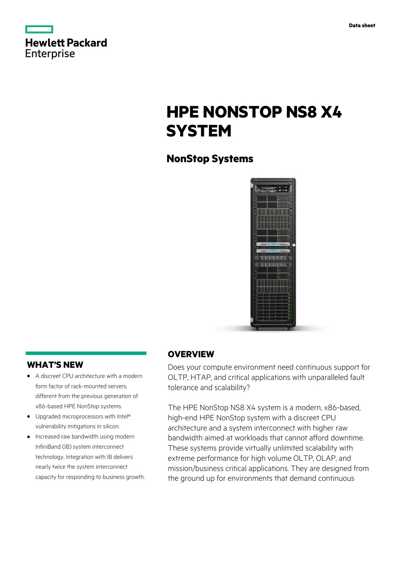| <b>Hewlett Packard</b> |  |  |
|------------------------|--|--|
| Enterprise             |  |  |

# **HPE NONSTOP NS8 X4 SYSTEM**

## **NonStop Systems**



### **WHAT'S NEW**

- **·** A discreet CPU architecture with a modern form factor of rack-mounted servers, different from the previous generation of x86-based HPE NonStop systems.
- **·** Upgraded microprocessors with Intel® vulnerability mitigations in silicon.
- **·** Increased raw bandwidth using modern InfiniBand (IB) system interconnect technology. Integration with IB delivers nearly twice the system interconnect capacity for responding to business growth.

### **OVERVIEW**

Does your compute environment need continuous support for OLTP, HTAP, and critical applications with unparalleled fault tolerance and scalability?

The HPE NonStop NS8 X4 system is a modern, x86-based, high-end HPE NonStop system with a discreet CPU architecture and a system interconnect with higher raw bandwidth aimed at workloads that cannot afford downtime. These systems provide virtually unlimited scalability with extreme performance for high volume OLTP, OLAP, and mission/business critical applications. They are designed from the ground up for environments that demand continuous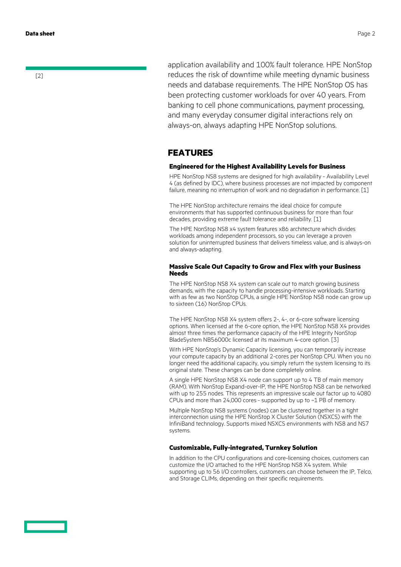[2]

application availability and 100% fault tolerance. HPE NonStop reduces the risk of downtime while meeting dynamic business needs and database requirements. The HPE NonStop OS has been protecting customer workloads for over 40 years. From banking to cell phone communications, payment processing, and many everyday consumer digital interactions rely on always-on, always adapting HPE NonStop solutions.

### **FEATURES**

#### **Engineered for the Highest Availability Levels for Business**

HPE NonStop NS8 systems are designed for high availability - Availability Level 4 (as defined by IDC), where business processes are not impacted by component failure, meaning no interruption of work and no degradation in performance. [1]

The HPE NonStop architecture remains the ideal choice for compute environments that has supported continuous business for more than four decades, providing extreme fault tolerance and reliability. [1]

The HPE NonStop NS8 x4 system features x86 architecture which divides workloads among independent processors, so you can leverage a proven solution for uninterrupted business that delivers timeless value, and is always-on and always-adapting.

#### **Massive Scale Out Capacity to Grow and Flex with your Business Needs**

The HPE NonStop NS8 X4 system can scale out to match growing business demands, with the capacity to handle processing-intensive workloads. Starting with as few as two NonStop CPUs, a single HPE NonStop NS8 node can grow up to sixteen (16) NonStop CPUs.

The HPE NonStop NS8 X4 system offers 2-, 4-, or 6-core software licensing options. When licensed at the 6-core option, the HPE NonStop NS8 X4 provides almost three times the performance capacity of the HPE Integrity NonStop BladeSystem NB56000c licensed at its maximum 4-core option. [3]

With HPE NonStop's Dynamic Capacity licensing, you can temporarily increase your compute capacity by an additional 2-cores per NonStop CPU. When you no longer need the additional capacity, you simply return the system licensing to its original state. These changes can be done completely online.

A single HPE NonStop NS8 X4 node can support up to 4 TB of main memory (RAM). With NonStop Expand-over-IP, the HPE NonStop NS8 can be networked with up to 255 nodes. This represents an impressive scale out factor up to 4080 CPUs and more than 24,000 cores - supported by up to ~1 PB of memory.

Multiple NonStop NS8 systems (nodes) can be clustered together in a tight interconnection using the HPE NonStop X Cluster Solution (NSXCS) with the InfiniBand technology. Supports mixed NSXCS environments with NS8 and NS7 systems.

#### **Customizable, Fully-integrated, Turnkey Solution**

In addition to the CPU configurations and core-licensing choices, customers can customize the I/O attached to the HPE NonStop NS8 X4 system. While supporting up to 56 I/O controllers, customers can choose between the IP, Telco, and Storage CLIMs, depending on their specific requirements.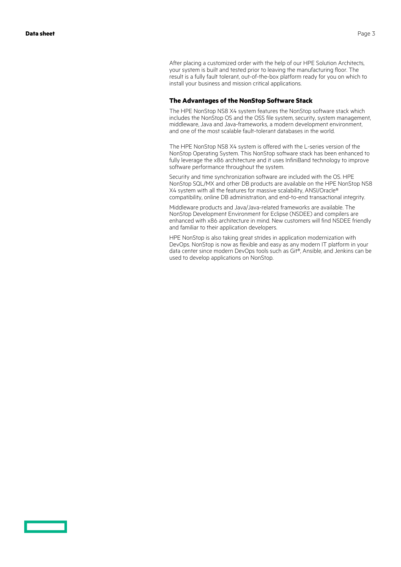After placing a customized order with the help of our HPE Solution Architects, your system is built and tested prior to leaving the manufacturing floor. The result is a fully fault tolerant, out-of-the-box platform ready for you on which to install your business and mission critical applications.

#### **The Advantages of the NonStop Software Stack**

The HPE NonStop NS8 X4 system features the NonStop software stack which includes the NonStop OS and the OSS file system, security, system management, middleware, Java and Java-frameworks, a modern development environment, and one of the most scalable fault-tolerant databases in the world.

The HPE NonStop NS8 X4 system is offered with the L-series version of the NonStop Operating System. This NonStop software stack has been enhanced to fully leverage the x86 architecture and it uses InfiniBand technology to improve software performance throughout the system.

Security and time synchronization software are included with the OS. HPE NonStop SQL/MX and other DB products are available on the HPE NonStop NS8 X4 system with all the features for massive scalability, ANSI/Oracle® compatibility, online DB administration, and end-to-end transactional integrity.

Middleware products and Java/Java-related frameworks are available. The NonStop Development Environment for Eclipse (NSDEE) and compilers are enhanced with x86 architecture in mind. New customers will find NSDEE friendly and familiar to their application developers.

HPE NonStop is also taking great strides in application modernization with DevOps. NonStop is now as flexible and easy as any modern IT platform in your data center since modern DevOps tools such as Git®, Ansible, and Jenkins can be used to develop applications on NonStop.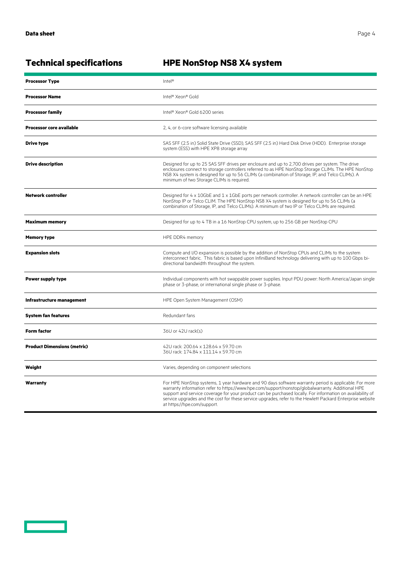<u>a sa saidh an san Saorann an S</u>

## **Technical specifications HPE NonStop NS8 X4 system**

| <b>Processor Type</b>              | $\text{Intel}^{\otimes}$                                                                                                                                                                                                                                                                                                                                                                                                                                            |  |
|------------------------------------|---------------------------------------------------------------------------------------------------------------------------------------------------------------------------------------------------------------------------------------------------------------------------------------------------------------------------------------------------------------------------------------------------------------------------------------------------------------------|--|
| <b>Processor Name</b>              | Intel® Xeon® Gold                                                                                                                                                                                                                                                                                                                                                                                                                                                   |  |
| <b>Processor family</b>            | Intel® Xeon® Gold 6200 series                                                                                                                                                                                                                                                                                                                                                                                                                                       |  |
| <b>Processor core available</b>    | 2, 4, or 6-core software licensing available                                                                                                                                                                                                                                                                                                                                                                                                                        |  |
| Drive type                         | SAS SFF (2.5 in) Solid State Drive (SSD), SAS SFF (2.5 in) Hard Disk Drive (HDD). Enterprise storage<br>system (ESS) with HPE XP8 storage array                                                                                                                                                                                                                                                                                                                     |  |
| <b>Drive description</b>           | Designed for up to 25 SAS SFF drives per enclosure and up to 2,700 drives per system. The drive<br>enclosures connect to storage controllers referred to as HPE NonStop Storage CLIMs. The HPE NonStop<br>NS8 X4 system is designed for up to 56 CLIMs (a combination of Storage, IP, and Telco CLIMs). A<br>minimum of two Storage CLIMs is required.                                                                                                              |  |
| <b>Network controller</b>          | Designed for $4 \times 10$ GbE and $1 \times 1$ GbE ports per network controller. A network controller can be an HPE<br>NonStop IP or Telco CLIM. The HPE NonStop NS8 X4 system is designed for up to 56 CLIMs (a<br>combination of Storage, IP, and Telco CLIMs). A minimum of two IP or Telco CLIMs are required.                                                                                                                                                 |  |
| <b>Maximum memory</b>              | Designed for up to 4 TB in a 16 NonStop CPU system, up to 256 GB per NonStop CPU                                                                                                                                                                                                                                                                                                                                                                                    |  |
| <b>Memory type</b>                 | HPE DDR4 memory                                                                                                                                                                                                                                                                                                                                                                                                                                                     |  |
| <b>Expansion slots</b>             | Compute and I/O expansion is possible by the addition of NonStop CPUs and CLIMs to the system<br>interconnect fabric. This fabric is based upon InfiniBand technology delivering with up to 100 Gbps bi-<br>directional bandwidth throughout the system.                                                                                                                                                                                                            |  |
| <b>Power supply type</b>           | Individual components with hot swappable power supplies. Input PDU power: North America/Japan single<br>phase or 3-phase, or international single phase or 3-phase.                                                                                                                                                                                                                                                                                                 |  |
| Infrastructure management          | HPE Open System Management (OSM)                                                                                                                                                                                                                                                                                                                                                                                                                                    |  |
| <b>System fan features</b>         | Redundant fans                                                                                                                                                                                                                                                                                                                                                                                                                                                      |  |
| <b>Form factor</b>                 | 36U or 42U rack(s)                                                                                                                                                                                                                                                                                                                                                                                                                                                  |  |
| <b>Product Dimensions (metric)</b> | 42U rack: 200.64 x 128.64 x 59.70 cm<br>36U rack: 174.84 x 111.14 x 59.70 cm                                                                                                                                                                                                                                                                                                                                                                                        |  |
| Weight                             | Varies, depending on component selections                                                                                                                                                                                                                                                                                                                                                                                                                           |  |
| Warranty                           | For HPE NonStop systems, 1 year hardware and 90 days software warranty period is applicable. For more<br>warranty information refer to https://www.hpe.com/support/nonstop/globalwarranty. Additional HPE<br>support and service coverage for your product can be purchased locally. For information on availability of<br>service upgrades and the cost for these service upgrades, refer to the Hewlett Packard Enterprise website<br>at https://hpe.com/support. |  |